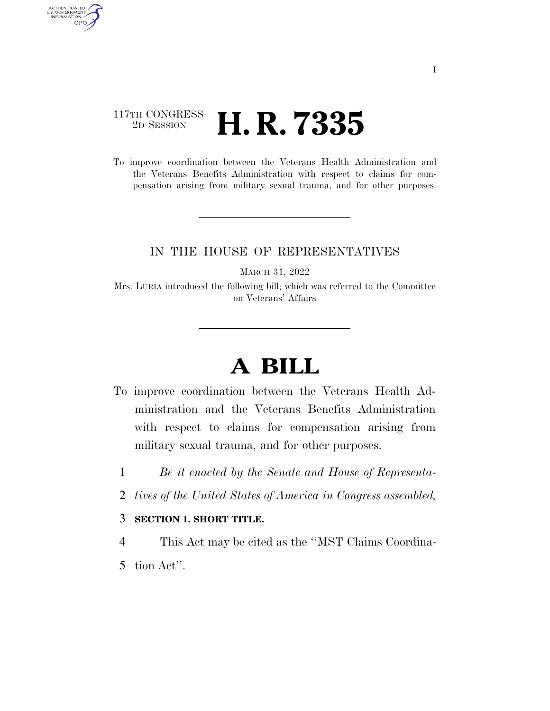## 117TH CONGRESS <sup>2D SESSION</sup> **H. R. 7335**

AUTHENTICATED<br>U.S. GOVERNMENT<br>INFORMATION GPO

> To improve coordination between the Veterans Health Administration and the Veterans Benefits Administration with respect to claims for compensation arising from military sexual trauma, and for other purposes.

## IN THE HOUSE OF REPRESENTATIVES

MARCH 31, 2022

Mrs. LURIA introduced the following bill; which was referred to the Committee on Veterans' Affairs

## **A BILL**

- To improve coordination between the Veterans Health Administration and the Veterans Benefits Administration with respect to claims for compensation arising from military sexual trauma, and for other purposes.
	- 1 *Be it enacted by the Senate and House of Representa-*
	- 2 *tives of the United States of America in Congress assembled,*

## 3 **SECTION 1. SHORT TITLE.**

- 4 This Act may be cited as the ''MST Claims Coordina-
- 5 tion Act''.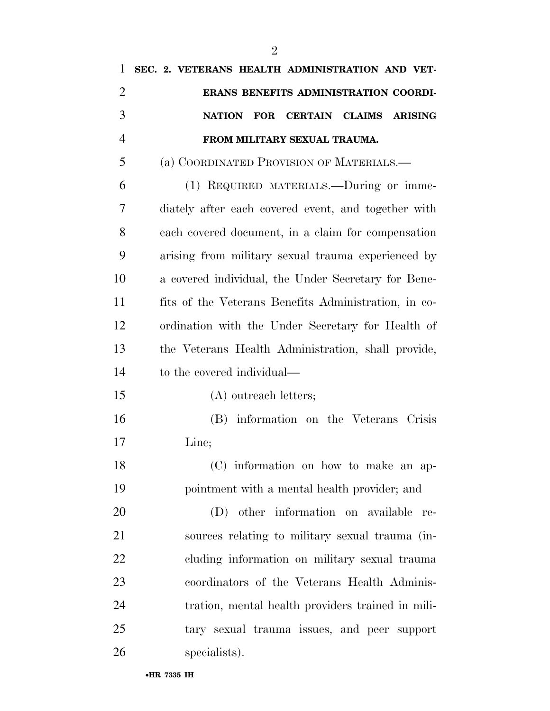| 1              | SEC. 2. VETERANS HEALTH ADMINISTRATION AND VET-                        |
|----------------|------------------------------------------------------------------------|
| $\overline{2}$ | ERANS BENEFITS ADMINISTRATION COORDI-                                  |
| 3              | <b>NATION</b><br><b>FOR</b><br><b>CERTAIN CLAIMS</b><br><b>ARISING</b> |
| $\overline{4}$ | FROM MILITARY SEXUAL TRAUMA.                                           |
| 5              | (a) COORDINATED PROVISION OF MATERIALS.—                               |
| 6              | (1) REQUIRED MATERIALS.—During or imme-                                |
| 7              | diately after each covered event, and together with                    |
| 8              | each covered document, in a claim for compensation                     |
| 9              | arising from military sexual trauma experienced by                     |
| 10             | a covered individual, the Under Secretary for Bene-                    |
| 11             | fits of the Veterans Benefits Administration, in co-                   |
| 12             | ordination with the Under Secretary for Health of                      |
| 13             | the Veterans Health Administration, shall provide,                     |
| 14             | to the covered individual—                                             |
| 15             | (A) outreach letters;                                                  |
| 16             | (B) information on the Veterans Crisis                                 |
| 17             | Line;                                                                  |
| 18             | (C) information on how to make an ap-                                  |
| 19             | pointment with a mental health provider; and                           |
| 20             | (D) other information on available re-                                 |
| 21             | sources relating to military sexual trauma (in-                        |
| 22             | cluding information on military sexual trauma                          |
| 23             | coordinators of the Veterans Health Adminis-                           |
| 24             | tration, mental health providers trained in mili-                      |
| 25             | tary sexual trauma issues, and peer support                            |
| 26             | specialists).                                                          |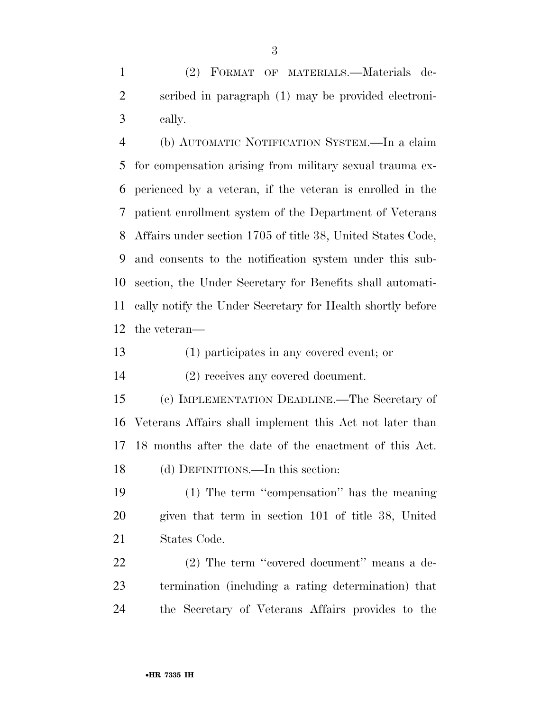(2) FORMAT OF MATERIALS.—Materials de- scribed in paragraph (1) may be provided electroni-cally.

 (b) AUTOMATIC NOTIFICATION SYSTEM.—In a claim for compensation arising from military sexual trauma ex- perienced by a veteran, if the veteran is enrolled in the patient enrollment system of the Department of Veterans Affairs under section 1705 of title 38, United States Code, and consents to the notification system under this sub- section, the Under Secretary for Benefits shall automati- cally notify the Under Secretary for Health shortly before the veteran—

(1) participates in any covered event; or

(2) receives any covered document.

 (c) IMPLEMENTATION DEADLINE.—The Secretary of Veterans Affairs shall implement this Act not later than 18 months after the date of the enactment of this Act. (d) DEFINITIONS.—In this section:

 (1) The term ''compensation'' has the meaning given that term in section 101 of title 38, United States Code.

22 (2) The term "covered document" means a de- termination (including a rating determination) that the Secretary of Veterans Affairs provides to the